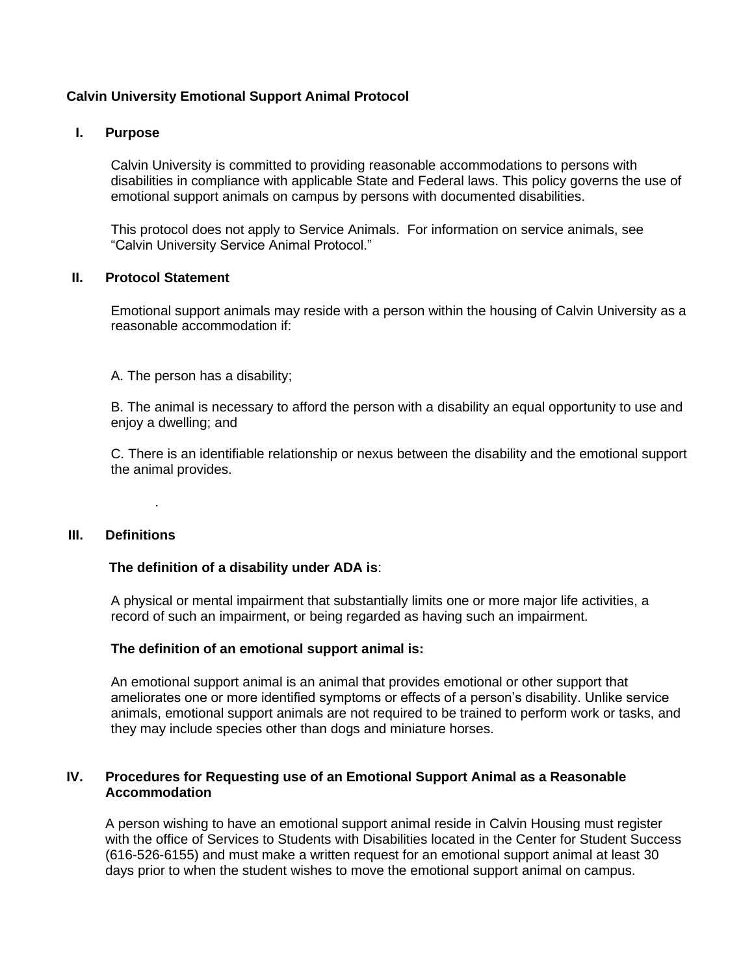# **Calvin University Emotional Support Animal Protocol**

#### **I. Purpose**

Calvin University is committed to providing reasonable accommodations to persons with disabilities in compliance with applicable State and Federal laws. This policy governs the use of emotional support animals on campus by persons with documented disabilities.

This protocol does not apply to Service Animals. For information on service animals, see "Calvin University Service Animal Protocol."

### **II. Protocol Statement**

Emotional support animals may reside with a person within the housing of Calvin University as a reasonable accommodation if:

A. The person has a disability;

B. The animal is necessary to afford the person with a disability an equal opportunity to use and enjoy a dwelling; and

C. There is an identifiable relationship or nexus between the disability and the emotional support the animal provides.

# **III. Definitions**

.

### **The definition of a disability under ADA is**:

A physical or mental impairment that substantially limits one or more major life activities, a record of such an impairment, or being regarded as having such an impairment.

#### **The definition of an emotional support animal is:**

An emotional support animal is an animal that provides emotional or other support that ameliorates one or more identified symptoms or effects of a person's disability. Unlike service animals, emotional support animals are not required to be trained to perform work or tasks, and they may include species other than dogs and miniature horses.

#### **IV. Procedures for Requesting use of an Emotional Support Animal as a Reasonable Accommodation**

A person wishing to have an emotional support animal reside in Calvin Housing must register with the office of Services to Students with Disabilities located in the Center for Student Success (616-526-6155) and must make a written request for an emotional support animal at least 30 days prior to when the student wishes to move the emotional support animal on campus.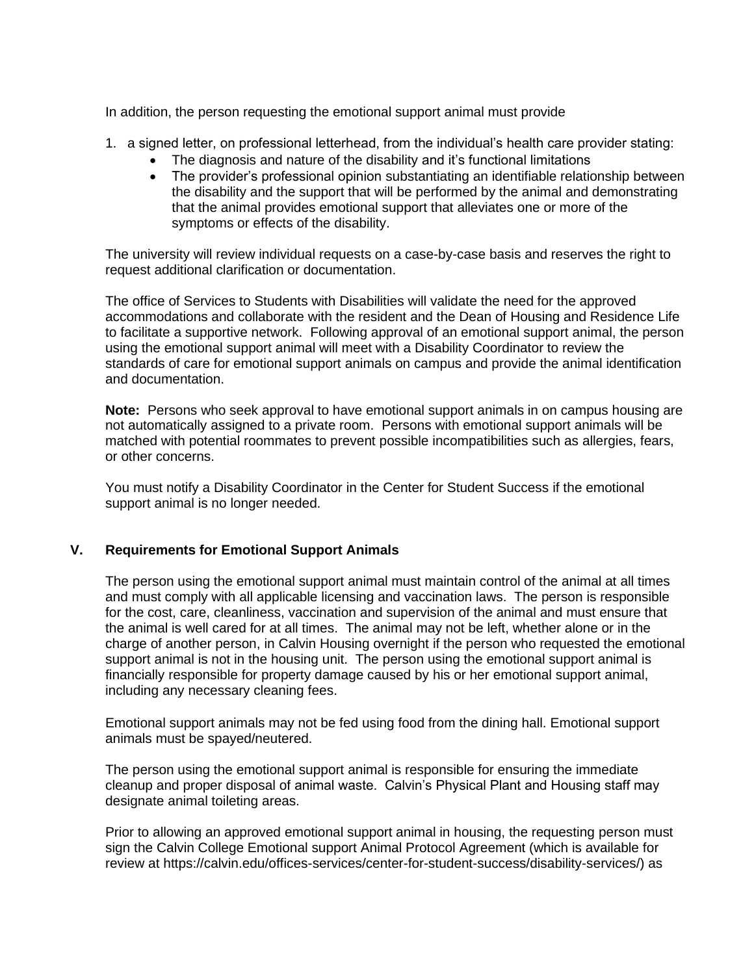In addition, the person requesting the emotional support animal must provide

- 1. a signed letter, on professional letterhead, from the individual's health care provider stating:
	- The diagnosis and nature of the disability and it's functional limitations
	- The provider's professional opinion substantiating an identifiable relationship between the disability and the support that will be performed by the animal and demonstrating that the animal provides emotional support that alleviates one or more of the symptoms or effects of the disability.

The university will review individual requests on a case-by-case basis and reserves the right to request additional clarification or documentation.

The office of Services to Students with Disabilities will validate the need for the approved accommodations and collaborate with the resident and the Dean of Housing and Residence Life to facilitate a supportive network. Following approval of an emotional support animal, the person using the emotional support animal will meet with a Disability Coordinator to review the standards of care for emotional support animals on campus and provide the animal identification and documentation.

**Note:** Persons who seek approval to have emotional support animals in on campus housing are not automatically assigned to a private room. Persons with emotional support animals will be matched with potential roommates to prevent possible incompatibilities such as allergies, fears, or other concerns.

You must notify a Disability Coordinator in the Center for Student Success if the emotional support animal is no longer needed.

## **V. Requirements for Emotional Support Animals**

The person using the emotional support animal must maintain control of the animal at all times and must comply with all applicable licensing and vaccination laws. The person is responsible for the cost, care, cleanliness, vaccination and supervision of the animal and must ensure that the animal is well cared for at all times. The animal may not be left, whether alone or in the charge of another person, in Calvin Housing overnight if the person who requested the emotional support animal is not in the housing unit. The person using the emotional support animal is financially responsible for property damage caused by his or her emotional support animal, including any necessary cleaning fees.

Emotional support animals may not be fed using food from the dining hall. Emotional support animals must be spayed/neutered.

The person using the emotional support animal is responsible for ensuring the immediate cleanup and proper disposal of animal waste. Calvin's Physical Plant and Housing staff may designate animal toileting areas.

Prior to allowing an approved emotional support animal in housing, the requesting person must sign the Calvin College Emotional support Animal Protocol Agreement (which is available for review at https://calvin.edu/offices-services/center-for-student-success/disability-services/) as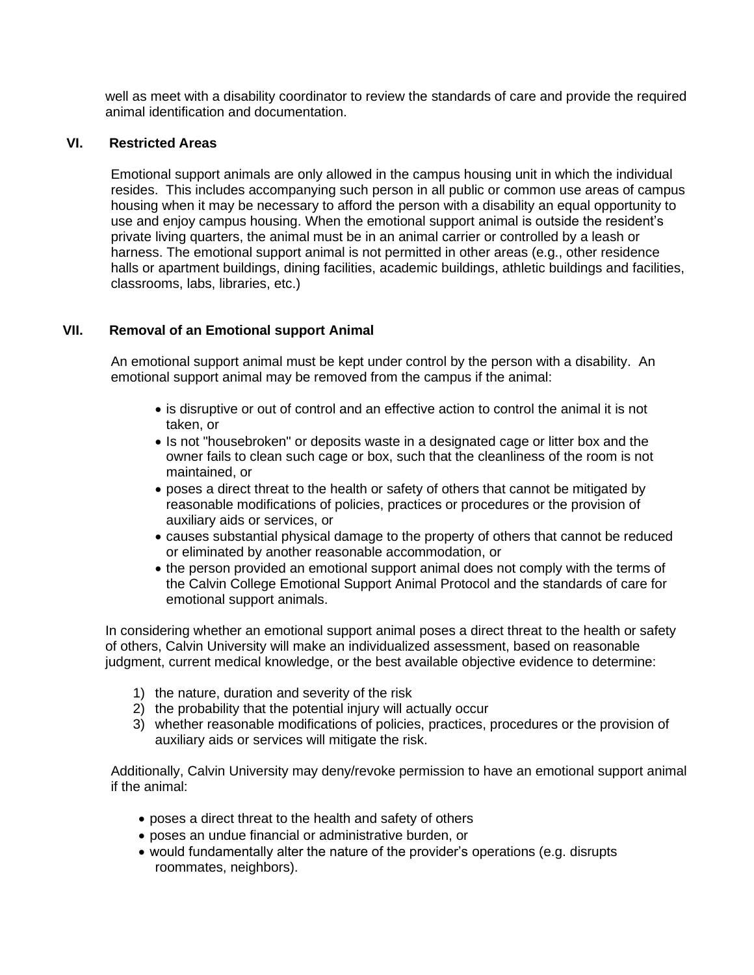well as meet with a disability coordinator to review the standards of care and provide the required animal identification and documentation.

## **VI. Restricted Areas**

Emotional support animals are only allowed in the campus housing unit in which the individual resides. This includes accompanying such person in all public or common use areas of campus housing when it may be necessary to afford the person with a disability an equal opportunity to use and enjoy campus housing. When the emotional support animal is outside the resident's private living quarters, the animal must be in an animal carrier or controlled by a leash or harness. The emotional support animal is not permitted in other areas (e.g., other residence halls or apartment buildings, dining facilities, academic buildings, athletic buildings and facilities, classrooms, labs, libraries, etc.)

## **VII. Removal of an Emotional support Animal**

An emotional support animal must be kept under control by the person with a disability. An emotional support animal may be removed from the campus if the animal:

- is disruptive or out of control and an effective action to control the animal it is not taken, or
- Is not "housebroken" or deposits waste in a designated cage or litter box and the owner fails to clean such cage or box, such that the cleanliness of the room is not maintained, or
- poses a direct threat to the health or safety of others that cannot be mitigated by reasonable modifications of policies, practices or procedures or the provision of auxiliary aids or services, or
- causes substantial physical damage to the property of others that cannot be reduced or eliminated by another reasonable accommodation, or
- the person provided an emotional support animal does not comply with the terms of the Calvin College Emotional Support Animal Protocol and the standards of care for emotional support animals.

In considering whether an emotional support animal poses a direct threat to the health or safety of others, Calvin University will make an individualized assessment, based on reasonable judgment, current medical knowledge, or the best available objective evidence to determine:

- 1) the nature, duration and severity of the risk
- 2) the probability that the potential injury will actually occur
- 3) whether reasonable modifications of policies, practices, procedures or the provision of auxiliary aids or services will mitigate the risk.

Additionally, Calvin University may deny/revoke permission to have an emotional support animal if the animal:

- poses a direct threat to the health and safety of others
- poses an undue financial or administrative burden, or
- would fundamentally alter the nature of the provider's operations (e.g. disrupts roommates, neighbors).